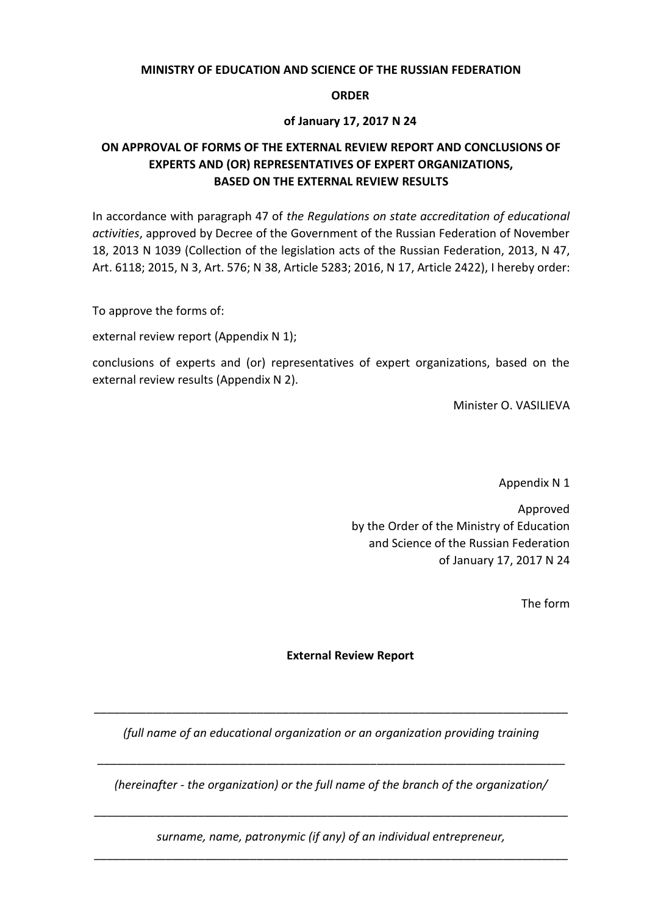### **MINISTRY OF EDUCATION AND SCIENCE OF THE RUSSIAN FEDERATION**

**ORDER**

#### **of January 17, 2017 N 24**

# **ON APPROVAL OF FORMS OF THE EXTERNAL REVIEW REPORT AND CONCLUSIONS OF EXPERTS AND (OR) REPRESENTATIVES OF EXPERT ORGANIZATIONS, BASED ON THE EXTERNAL REVIEW RESULTS**

In accordance with paragraph 47 of *the Regulations on state accreditation of educational activities*, approved by Decree of the Government of the Russian Federation of November 18, 2013 N 1039 (Collection of the legislation acts of the Russian Federation, 2013, N 47, Art. 6118; 2015, N 3, Art. 576; N 38, Article 5283; 2016, N 17, Article 2422), I hereby order:

To approve the forms of:

external review report (Appendix N 1);

conclusions of experts and (or) representatives of expert organizations, based on the external review results (Appendix N 2).

Minister O. VASILIEVA

Appendix N 1

Approved by the Order of the Ministry of Education and Science of the Russian Federation of January 17, 2017 N 24

The form

### **External Review Report**

*(full name of an educational organization or an organization providing training*

\_\_\_\_\_\_\_\_\_\_\_\_\_\_\_\_\_\_\_\_\_\_\_\_\_\_\_\_\_\_\_\_\_\_\_\_\_\_\_\_\_\_\_\_\_\_\_\_\_\_\_\_\_\_\_\_\_\_\_\_\_\_\_\_\_\_\_\_\_\_\_\_\_

*(hereinafter - the organization) or the full name of the branch of the organization/*

\_\_\_\_\_\_\_\_\_\_\_\_\_\_\_\_\_\_\_\_\_\_\_\_\_\_\_\_\_\_\_\_\_\_\_\_\_\_\_\_\_\_\_\_\_\_\_\_\_\_\_\_\_\_\_\_\_\_\_\_\_\_\_\_\_\_\_\_\_\_\_\_\_

\_\_\_\_\_\_\_\_\_\_\_\_\_\_\_\_\_\_\_\_\_\_\_\_\_\_\_\_\_\_\_\_\_\_\_\_\_\_\_\_\_\_\_\_\_\_\_\_\_\_\_\_\_\_\_\_\_\_\_\_\_\_\_\_\_\_\_\_\_\_\_\_

*surname, name, patronymic (if any) of an individual entrepreneur,* \_\_\_\_\_\_\_\_\_\_\_\_\_\_\_\_\_\_\_\_\_\_\_\_\_\_\_\_\_\_\_\_\_\_\_\_\_\_\_\_\_\_\_\_\_\_\_\_\_\_\_\_\_\_\_\_\_\_\_\_\_\_\_\_\_\_\_\_\_\_\_\_\_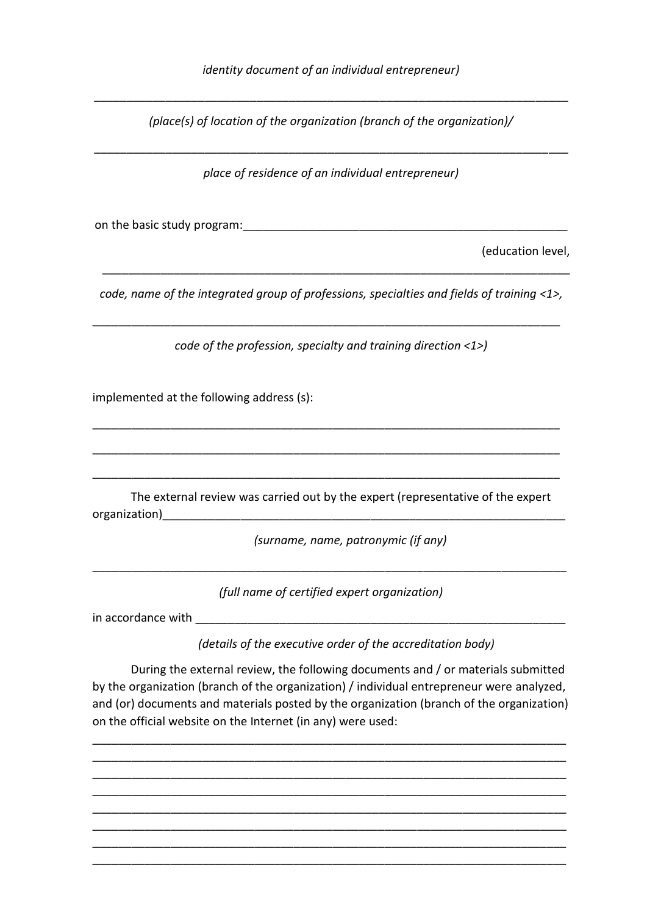\_\_\_\_\_\_\_\_\_\_\_\_\_\_\_\_\_\_\_\_\_\_\_\_\_\_\_\_\_\_\_\_\_\_\_\_\_\_\_\_\_\_\_\_\_\_\_\_\_\_\_\_\_\_\_\_\_\_\_\_\_\_\_\_\_\_\_\_\_\_\_\_\_

*(place(s) of location of the organization (branch of the organization)/*

*place of residence of an individual entrepreneur)*

\_\_\_\_\_\_\_\_\_\_\_\_\_\_\_\_\_\_\_\_\_\_\_\_\_\_\_\_\_\_\_\_\_\_\_\_\_\_\_\_\_\_\_\_\_\_\_\_\_\_\_\_\_\_\_\_\_\_\_\_\_\_\_\_\_\_\_\_\_\_\_\_\_

on the basic study program:\_\_\_\_\_\_\_\_\_\_\_\_\_\_\_\_\_\_\_\_\_\_\_\_\_\_\_\_\_\_\_\_\_\_\_\_\_\_\_\_\_\_\_\_\_\_\_\_\_\_

(education level,

*code, name of the integrated group of professions, specialties and fields of training <1>,*

\_\_\_\_\_\_\_\_\_\_\_\_\_\_\_\_\_\_\_\_\_\_\_\_\_\_\_\_\_\_\_\_\_\_\_\_\_\_\_\_\_\_\_\_\_\_\_\_\_\_\_\_\_\_\_\_\_\_\_\_\_\_\_\_\_\_\_\_\_\_\_\_

*code of the profession, specialty and training direction <1>)*

\_\_\_\_\_\_\_\_\_\_\_\_\_\_\_\_\_\_\_\_\_\_\_\_\_\_\_\_\_\_\_\_\_\_\_\_\_\_\_\_\_\_\_\_\_\_\_\_\_\_\_\_\_\_\_\_\_\_\_\_\_\_\_\_\_\_\_\_\_\_\_\_

implemented at the following address (s):

The external review was carried out by the expert (representative of the expert organization)

\_\_\_\_\_\_\_\_\_\_\_\_\_\_\_\_\_\_\_\_\_\_\_\_\_\_\_\_\_\_\_\_\_\_\_\_\_\_\_\_\_\_\_\_\_\_\_\_\_\_\_\_\_\_\_\_\_\_\_\_\_\_\_\_\_\_\_\_\_\_\_\_

\_\_\_\_\_\_\_\_\_\_\_\_\_\_\_\_\_\_\_\_\_\_\_\_\_\_\_\_\_\_\_\_\_\_\_\_\_\_\_\_\_\_\_\_\_\_\_\_\_\_\_\_\_\_\_\_\_\_\_\_\_\_\_\_\_\_\_\_\_\_\_\_

\_\_\_\_\_\_\_\_\_\_\_\_\_\_\_\_\_\_\_\_\_\_\_\_\_\_\_\_\_\_\_\_\_\_\_\_\_\_\_\_\_\_\_\_\_\_\_\_\_\_\_\_\_\_\_\_\_\_\_\_\_\_\_\_\_\_\_\_\_\_\_\_

*(surname, name, patronymic (if any)*

*(full name of certified expert organization)*

\_\_\_\_\_\_\_\_\_\_\_\_\_\_\_\_\_\_\_\_\_\_\_\_\_\_\_\_\_\_\_\_\_\_\_\_\_\_\_\_\_\_\_\_\_\_\_\_\_\_\_\_\_\_\_\_\_\_\_\_\_\_\_\_\_\_\_\_\_\_\_\_\_

in accordance with

*(details of the executive order of the accreditation body)*

During the external review, the following documents and / or materials submitted by the organization (branch of the organization) / individual entrepreneur were analyzed, and (or) documents and materials posted by the organization (branch of the organization) on the official website on the Internet (in any) were used:

\_\_\_\_\_\_\_\_\_\_\_\_\_\_\_\_\_\_\_\_\_\_\_\_\_\_\_\_\_\_\_\_\_\_\_\_\_\_\_\_\_\_\_\_\_\_\_\_\_\_\_\_\_\_\_\_\_\_\_\_\_\_\_\_\_\_\_\_\_\_\_\_\_ \_\_\_\_\_\_\_\_\_\_\_\_\_\_\_\_\_\_\_\_\_\_\_\_\_\_\_\_\_\_\_\_\_\_\_\_\_\_\_\_\_\_\_\_\_\_\_\_\_\_\_\_\_\_\_\_\_\_\_\_\_\_\_\_\_\_\_\_\_\_\_\_\_ \_\_\_\_\_\_\_\_\_\_\_\_\_\_\_\_\_\_\_\_\_\_\_\_\_\_\_\_\_\_\_\_\_\_\_\_\_\_\_\_\_\_\_\_\_\_\_\_\_\_\_\_\_\_\_\_\_\_\_\_\_\_\_\_\_\_\_\_\_\_\_\_\_ \_\_\_\_\_\_\_\_\_\_\_\_\_\_\_\_\_\_\_\_\_\_\_\_\_\_\_\_\_\_\_\_\_\_\_\_\_\_\_\_\_\_\_\_\_\_\_\_\_\_\_\_\_\_\_\_\_\_\_\_\_\_\_\_\_\_\_\_\_\_\_\_\_ \_\_\_\_\_\_\_\_\_\_\_\_\_\_\_\_\_\_\_\_\_\_\_\_\_\_\_\_\_\_\_\_\_\_\_\_\_\_\_\_\_\_\_\_\_\_\_\_\_\_\_\_\_\_\_\_\_\_\_\_\_\_\_\_\_\_\_\_\_\_\_\_\_ \_\_\_\_\_\_\_\_\_\_\_\_\_\_\_\_\_\_\_\_\_\_\_\_\_\_\_\_\_\_\_\_\_\_\_\_\_\_\_\_\_\_\_\_\_\_\_\_\_\_\_\_\_\_\_\_\_\_\_\_\_\_\_\_\_\_\_\_\_\_\_\_\_ \_\_\_\_\_\_\_\_\_\_\_\_\_\_\_\_\_\_\_\_\_\_\_\_\_\_\_\_\_\_\_\_\_\_\_\_\_\_\_\_\_\_\_\_\_\_\_\_\_\_\_\_\_\_\_\_\_\_\_\_\_\_\_\_\_\_\_\_\_\_\_\_\_ \_\_\_\_\_\_\_\_\_\_\_\_\_\_\_\_\_\_\_\_\_\_\_\_\_\_\_\_\_\_\_\_\_\_\_\_\_\_\_\_\_\_\_\_\_\_\_\_\_\_\_\_\_\_\_\_\_\_\_\_\_\_\_\_\_\_\_\_\_\_\_\_\_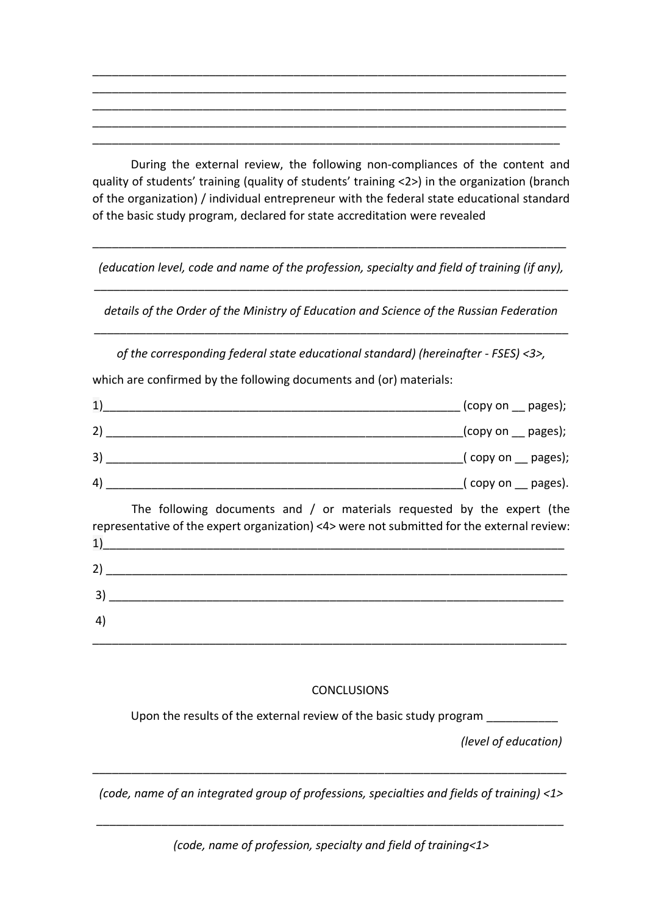During the external review, the following non-compliances of the content and quality of students' training (quality of students' training <2>) in the organization (branch of the organization) / individual entrepreneur with the federal state educational standard of the basic study program, declared for state accreditation were revealed

\_\_\_\_\_\_\_\_\_\_\_\_\_\_\_\_\_\_\_\_\_\_\_\_\_\_\_\_\_\_\_\_\_\_\_\_\_\_\_\_\_\_\_\_\_\_\_\_\_\_\_\_\_\_\_\_\_\_\_\_\_\_\_\_\_\_\_\_\_\_\_\_\_ \_\_\_\_\_\_\_\_\_\_\_\_\_\_\_\_\_\_\_\_\_\_\_\_\_\_\_\_\_\_\_\_\_\_\_\_\_\_\_\_\_\_\_\_\_\_\_\_\_\_\_\_\_\_\_\_\_\_\_\_\_\_\_\_\_\_\_\_\_\_\_\_\_ \_\_\_\_\_\_\_\_\_\_\_\_\_\_\_\_\_\_\_\_\_\_\_\_\_\_\_\_\_\_\_\_\_\_\_\_\_\_\_\_\_\_\_\_\_\_\_\_\_\_\_\_\_\_\_\_\_\_\_\_\_\_\_\_\_\_\_\_\_\_\_\_\_ \_\_\_\_\_\_\_\_\_\_\_\_\_\_\_\_\_\_\_\_\_\_\_\_\_\_\_\_\_\_\_\_\_\_\_\_\_\_\_\_\_\_\_\_\_\_\_\_\_\_\_\_\_\_\_\_\_\_\_\_\_\_\_\_\_\_\_\_\_\_\_\_\_ \_\_\_\_\_\_\_\_\_\_\_\_\_\_\_\_\_\_\_\_\_\_\_\_\_\_\_\_\_\_\_\_\_\_\_\_\_\_\_\_\_\_\_\_\_\_\_\_\_\_\_\_\_\_\_\_\_\_\_\_\_\_\_\_\_\_\_\_\_\_\_\_

*(education level, code and name of the profession, specialty and field of training (if any),* \_\_\_\_\_\_\_\_\_\_\_\_\_\_\_\_\_\_\_\_\_\_\_\_\_\_\_\_\_\_\_\_\_\_\_\_\_\_\_\_\_\_\_\_\_\_\_\_\_\_\_\_\_\_\_\_\_\_\_\_\_\_\_\_\_\_\_\_\_\_\_\_\_

\_\_\_\_\_\_\_\_\_\_\_\_\_\_\_\_\_\_\_\_\_\_\_\_\_\_\_\_\_\_\_\_\_\_\_\_\_\_\_\_\_\_\_\_\_\_\_\_\_\_\_\_\_\_\_\_\_\_\_\_\_\_\_\_\_\_\_\_\_\_\_\_\_

*details of the Order of the Ministry of Education and Science of the Russian Federation* \_\_\_\_\_\_\_\_\_\_\_\_\_\_\_\_\_\_\_\_\_\_\_\_\_\_\_\_\_\_\_\_\_\_\_\_\_\_\_\_\_\_\_\_\_\_\_\_\_\_\_\_\_\_\_\_\_\_\_\_\_\_\_\_\_\_\_\_\_\_\_\_\_

*of the corresponding federal state educational standard) (hereinafter - FSES) <3>,*

which are confirmed by the following documents and (or) materials:

| $\mathbf{1}$ | (copy on __ pages);          |
|--------------|------------------------------|
| 2)           | _(copy on __ pages);         |
| 3)           | ( copy on __ pages);         |
| 4)           | $($ copy on $\equiv$ pages). |

The following documents and / or materials requested by the expert (the representative of the expert organization) <4> were not submitted for the external review: 1)\_\_\_\_\_\_\_\_\_\_\_\_\_\_\_\_\_\_\_\_\_\_\_\_\_\_\_\_\_\_\_\_\_\_\_\_\_\_\_\_\_\_\_\_\_\_\_\_\_\_\_\_\_\_\_\_\_\_\_\_\_\_\_\_\_\_\_\_\_\_\_ 2) \_\_\_\_\_\_\_\_\_\_\_\_\_\_\_\_\_\_\_\_\_\_\_\_\_\_\_\_\_\_\_\_\_\_\_\_\_\_\_\_\_\_\_\_\_\_\_\_\_\_\_\_\_\_\_\_\_\_\_\_\_\_\_\_\_\_\_\_\_\_\_ 3) \_\_\_\_\_\_\_\_\_\_\_\_\_\_\_\_\_\_\_\_\_\_\_\_\_\_\_\_\_\_\_\_\_\_\_\_\_\_\_\_\_\_\_\_\_\_\_\_\_\_\_\_\_\_\_\_\_\_\_\_\_\_\_\_\_\_\_\_\_\_ 4)

\_\_\_\_\_\_\_\_\_\_\_\_\_\_\_\_\_\_\_\_\_\_\_\_\_\_\_\_\_\_\_\_\_\_\_\_\_\_\_\_\_\_\_\_\_\_\_\_\_\_\_\_\_\_\_\_\_\_\_\_\_\_\_\_\_\_\_\_\_\_\_\_\_

## **CONCLUSIONS**

Upon the results of the external review of the basic study program \_\_\_\_\_\_\_\_\_\_\_

*(level of education)*

*(code, name of an integrated group of professions, specialties and fields of training) <1>*

\_\_\_\_\_\_\_\_\_\_\_\_\_\_\_\_\_\_\_\_\_\_\_\_\_\_\_\_\_\_\_\_\_\_\_\_\_\_\_\_\_\_\_\_\_\_\_\_\_\_\_\_\_\_\_\_\_\_\_\_\_\_\_\_\_\_\_\_\_\_\_\_\_

*(code, name of profession, specialty and field of training<1>*

*\_\_\_\_\_\_\_\_\_\_\_\_\_\_\_\_\_\_\_\_\_\_\_\_\_\_\_\_\_\_\_\_\_\_\_\_\_\_\_\_\_\_\_\_\_\_\_\_\_\_\_\_\_\_\_\_\_\_\_\_\_\_\_\_\_\_\_\_\_\_\_\_*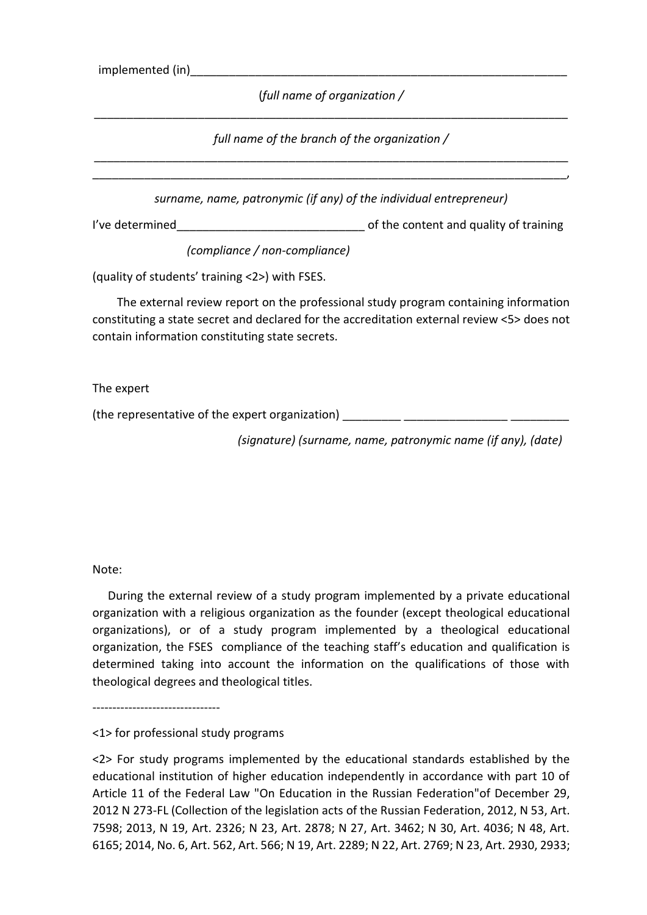implemented (in)

(*full name of organization /* \_\_\_\_\_\_\_\_\_\_\_\_\_\_\_\_\_\_\_\_\_\_\_\_\_\_\_\_\_\_\_\_\_\_\_\_\_\_\_\_\_\_\_\_\_\_\_\_\_\_\_\_\_\_\_\_\_\_\_\_\_\_\_\_\_\_\_\_\_\_\_\_\_

*full name of the branch of the organization /* \_\_\_\_\_\_\_\_\_\_\_\_\_\_\_\_\_\_\_\_\_\_\_\_\_\_\_\_\_\_\_\_\_\_\_\_\_\_\_\_\_\_\_\_\_\_\_\_\_\_\_\_\_\_\_\_\_\_\_\_\_\_\_\_\_\_\_\_\_\_\_\_\_

\_\_\_\_\_\_\_\_\_\_\_\_\_\_\_\_\_\_\_\_\_\_\_\_\_\_\_\_\_\_\_\_\_\_\_\_\_\_\_\_\_\_\_\_\_\_\_\_\_\_\_\_\_\_\_\_\_\_\_\_\_\_\_\_\_\_\_\_\_\_\_\_\_,

*surname, name, patronymic (if any) of the individual entrepreneur)* 

I've determined\_\_\_\_\_\_\_\_\_\_\_\_\_\_\_\_\_\_\_\_\_\_\_\_\_\_\_\_\_ of the content and quality of training

 *(compliance / non-compliance)*

(quality of students' training <2>) with FSES.

The external review report on the professional study program containing information constituting a state secret and declared for the accreditation external review <5> does not contain information constituting state secrets.

The expert

(the representative of the expert organization) \_\_\_\_\_\_\_\_\_ \_\_\_\_\_\_\_\_\_\_\_\_\_\_\_\_ \_\_\_\_\_\_\_\_\_

*(signature) (surname, name, patronymic name (if any), (date)*

Note:

During the external review of a study program implemented by a private educational organization with a religious organization as the founder (except theological educational organizations), or of a study program implemented by a theological educational organization, the FSES compliance of the teaching staff's education and qualification is determined taking into account the information on the qualifications of those with theological degrees and theological titles.

 $-$ 

<1> for professional study programs

<2> For study programs implemented by the educational standards established by the educational institution of higher education independently in accordance with part 10 of Article 11 of the Federal Law "On Education in the Russian Federation"of December 29, 2012 N 273-FL (Collection of the legislation acts of the Russian Federation, 2012, N 53, Art. 7598; 2013, N 19, Art. 2326; N 23, Art. 2878; N 27, Art. 3462; N 30, Art. 4036; N 48, Art. 6165; 2014, No. 6, Art. 562, Art. 566; N 19, Art. 2289; N 22, Art. 2769; N 23, Art. 2930, 2933;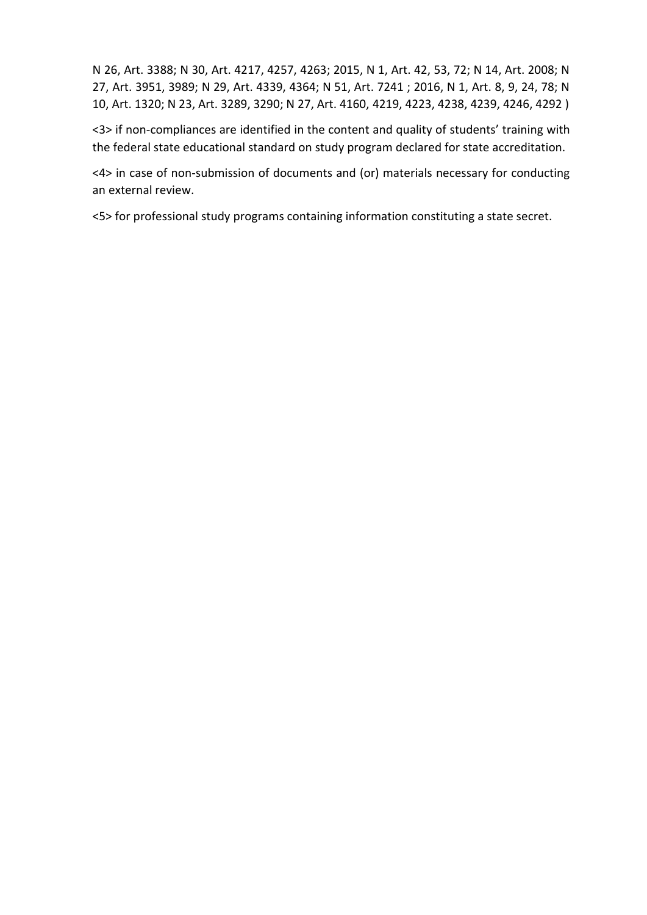N 26, Art. 3388; N 30, Art. 4217, 4257, 4263; 2015, N 1, Art. 42, 53, 72; N 14, Art. 2008; N 27, Art. 3951, 3989; N 29, Art. 4339, 4364; N 51, Art. 7241 ; 2016, N 1, Art. 8, 9, 24, 78; N 10, Art. 1320; N 23, Art. 3289, 3290; N 27, Art. 4160, 4219, 4223, 4238, 4239, 4246, 4292 )

<3> if non-compliances are identified in the content and quality of students' training with the federal state educational standard on study program declared for state accreditation.

<4> in case of non-submission of documents and (or) materials necessary for conducting an external review.

<5> for professional study programs containing information constituting a state secret.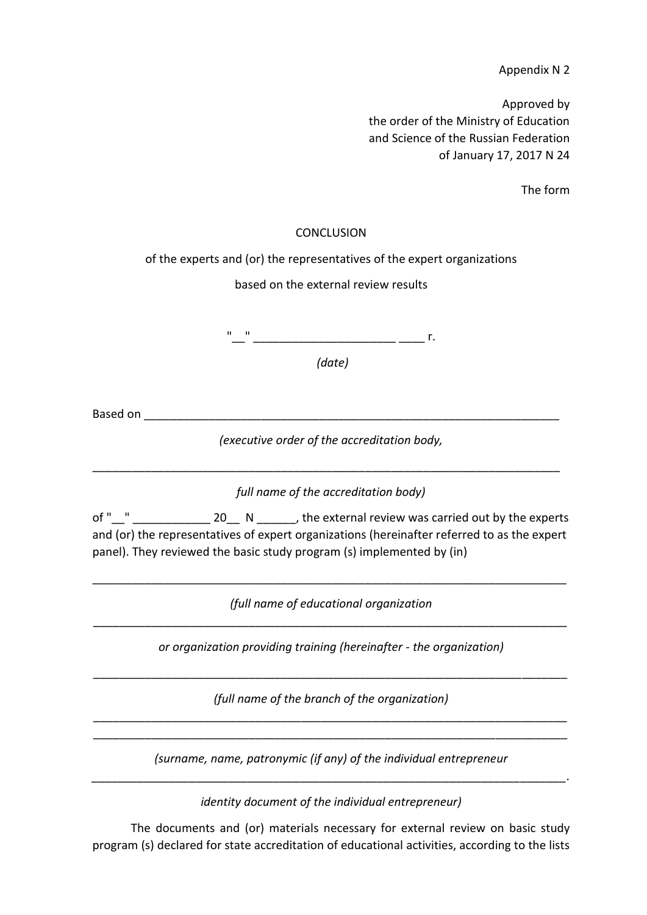Appendix N 2

Approved by the order of the Ministry of Education and Science of the Russian Federation of January 17, 2017 N 24

The form

## **CONCLUSION**

of the experts and (or) the representatives of the expert organizations

based on the external review results

"\_\_" \_\_\_\_\_\_\_\_\_\_\_\_\_\_\_\_\_\_\_\_\_\_ \_\_\_\_ г.

*(date)*

Based on \_\_\_\_\_\_\_\_\_\_\_\_\_\_\_\_\_\_\_\_\_\_\_\_\_\_\_\_\_\_\_\_\_\_\_\_\_\_\_\_\_\_\_\_\_\_\_\_\_\_\_\_\_\_\_\_\_\_\_\_\_\_\_\_

*(executive order of the accreditation body,*

*full name of the accreditation body)*

\_\_\_\_\_\_\_\_\_\_\_\_\_\_\_\_\_\_\_\_\_\_\_\_\_\_\_\_\_\_\_\_\_\_\_\_\_\_\_\_\_\_\_\_\_\_\_\_\_\_\_\_\_\_\_\_\_\_\_\_\_\_\_\_\_\_\_\_\_\_\_\_

of "<sup>1</sup> \_\_" \_\_\_\_\_\_\_\_\_\_\_\_\_\_\_ 20 \_\_ N \_\_\_\_\_\_\_, the external review was carried out by the experts and (or) the representatives of expert organizations (hereinafter referred to as the expert panel). They reviewed the basic study program (s) implemented by (in)

*(full name of educational organization \_\_\_\_\_\_\_\_\_\_\_\_\_\_\_\_\_\_\_\_\_\_\_\_\_\_\_\_\_\_\_\_\_\_\_\_\_\_\_\_\_\_\_\_\_\_\_\_\_\_\_\_\_\_\_\_\_\_\_\_\_\_\_\_\_\_\_\_\_\_\_\_\_*

\_\_\_\_\_\_\_\_\_\_\_\_\_\_\_\_\_\_\_\_\_\_\_\_\_\_\_\_\_\_\_\_\_\_\_\_\_\_\_\_\_\_\_\_\_\_\_\_\_\_\_\_\_\_\_\_\_\_\_\_\_\_\_\_\_\_\_\_\_\_\_\_\_

*or organization providing training (hereinafter - the organization)*

*(full name of the branch of the organization) \_\_\_\_\_\_\_\_\_\_\_\_\_\_\_\_\_\_\_\_\_\_\_\_\_\_\_\_\_\_\_\_\_\_\_\_\_\_\_\_\_\_\_\_\_\_\_\_\_\_\_\_\_\_\_\_\_\_\_\_\_\_\_\_\_\_\_\_\_\_\_\_\_* 

*\_\_\_\_\_\_\_\_\_\_\_\_\_\_\_\_\_\_\_\_\_\_\_\_\_\_\_\_\_\_\_\_\_\_\_\_\_\_\_\_\_\_\_\_\_\_\_\_\_\_\_\_\_\_\_\_\_\_\_\_\_\_\_\_\_\_\_\_\_\_\_\_\_*

*(surname, name, patronymic (if any) of the individual entrepreneur \_\_\_\_\_\_\_\_\_\_\_\_\_\_\_\_\_\_\_\_\_\_\_\_\_\_\_\_\_\_\_\_\_\_\_\_\_\_\_\_\_\_\_\_\_\_\_\_\_\_\_\_\_\_\_\_\_\_\_\_\_\_\_\_\_\_\_\_\_\_\_\_\_.*

*\_\_\_\_\_\_\_\_\_\_\_\_\_\_\_\_\_\_\_\_\_\_\_\_\_\_\_\_\_\_\_\_\_\_\_\_\_\_\_\_\_\_\_\_\_\_\_\_\_\_\_\_\_\_\_\_\_\_\_\_\_\_\_\_\_\_\_\_\_\_\_\_\_*

*identity document of the individual entrepreneur)*

The documents and (or) materials necessary for external review on basic study program (s) declared for state accreditation of educational activities, according to the lists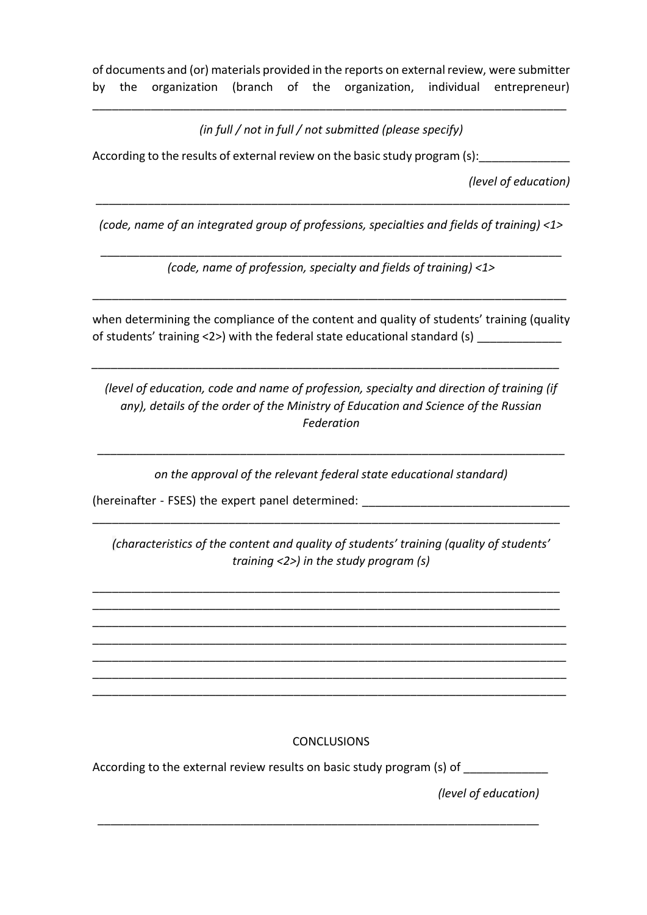of documents and (or) materials provided in the reports on external review, were submitter by the organization (branch of the organization, individual entrepreneur)

*(in full / not in full / not submitted (please specify)*

\_\_\_\_\_\_\_\_\_\_\_\_\_\_\_\_\_\_\_\_\_\_\_\_\_\_\_\_\_\_\_\_\_\_\_\_\_\_\_\_\_\_\_\_\_\_\_\_\_\_\_\_\_\_\_\_\_\_\_\_\_\_\_\_\_\_\_\_\_\_\_\_\_

According to the results of external review on the basic study program (s):

*(level of education)* 

*(code, name of an integrated group of professions, specialties and fields of training) <1>*

\_\_\_\_\_\_\_\_\_\_\_\_\_\_\_\_\_\_\_\_\_\_\_\_\_\_\_\_\_\_\_\_\_\_\_\_\_\_\_\_\_\_\_\_\_\_\_\_\_\_\_\_\_\_\_\_\_\_\_\_\_\_\_\_\_\_\_\_\_\_\_\_\_

\_\_\_\_\_\_\_\_\_\_\_\_\_\_\_\_\_\_\_\_\_\_\_\_\_\_\_\_\_\_\_\_\_\_\_\_\_\_\_\_\_\_\_\_\_\_\_\_\_\_\_\_\_\_\_\_\_\_\_\_\_\_\_\_\_\_\_\_\_\_\_ *(code, name of profession, specialty and fields of training) <1>*

\_\_\_\_\_\_\_\_\_\_\_\_\_\_\_\_\_\_\_\_\_\_\_\_\_\_\_\_\_\_\_\_\_\_\_\_\_\_\_\_\_\_\_\_\_\_\_\_\_\_\_\_\_\_\_\_\_\_\_\_\_\_\_\_\_\_\_\_\_\_\_\_\_

when determining the compliance of the content and quality of students' training (quality of students' training <2>) with the federal state educational standard (s)

*\_\_\_\_\_\_\_\_\_\_\_\_\_\_\_\_\_\_\_\_\_\_\_\_\_\_\_\_\_\_\_\_\_\_\_\_\_\_\_\_\_\_\_\_\_\_\_\_\_\_\_\_\_\_\_\_\_\_\_\_\_\_\_\_\_\_\_\_\_\_\_\_*

*(level of education, code and name of profession, specialty and direction of training (if any), details of the order of the Ministry of Education and Science of the Russian Federation*

*on the approval of the relevant federal state educational standard)*

\_\_\_\_\_\_\_\_\_\_\_\_\_\_\_\_\_\_\_\_\_\_\_\_\_\_\_\_\_\_\_\_\_\_\_\_\_\_\_\_\_\_\_\_\_\_\_\_\_\_\_\_\_\_\_\_\_\_\_\_\_\_\_\_\_\_\_\_\_\_\_\_

(hereinafter - FSES) the expert panel determined:

*(characteristics of the content and quality of students' training (quality of students' training <2>) in the study program (s)*

\_\_\_\_\_\_\_\_\_\_\_\_\_\_\_\_\_\_\_\_\_\_\_\_\_\_\_\_\_\_\_\_\_\_\_\_\_\_\_\_\_\_\_\_\_\_\_\_\_\_\_\_\_\_\_\_\_\_\_\_\_\_\_\_\_\_\_\_\_\_\_\_ \_\_\_\_\_\_\_\_\_\_\_\_\_\_\_\_\_\_\_\_\_\_\_\_\_\_\_\_\_\_\_\_\_\_\_\_\_\_\_\_\_\_\_\_\_\_\_\_\_\_\_\_\_\_\_\_\_\_\_\_\_\_\_\_\_\_\_\_\_\_\_\_ \_\_\_\_\_\_\_\_\_\_\_\_\_\_\_\_\_\_\_\_\_\_\_\_\_\_\_\_\_\_\_\_\_\_\_\_\_\_\_\_\_\_\_\_\_\_\_\_\_\_\_\_\_\_\_\_\_\_\_\_\_\_\_\_\_\_\_\_\_\_\_\_\_ \_\_\_\_\_\_\_\_\_\_\_\_\_\_\_\_\_\_\_\_\_\_\_\_\_\_\_\_\_\_\_\_\_\_\_\_\_\_\_\_\_\_\_\_\_\_\_\_\_\_\_\_\_\_\_\_\_\_\_\_\_\_\_\_\_\_\_\_\_\_\_\_\_ \_\_\_\_\_\_\_\_\_\_\_\_\_\_\_\_\_\_\_\_\_\_\_\_\_\_\_\_\_\_\_\_\_\_\_\_\_\_\_\_\_\_\_\_\_\_\_\_\_\_\_\_\_\_\_\_\_\_\_\_\_\_\_\_\_\_\_\_\_\_\_\_\_ \_\_\_\_\_\_\_\_\_\_\_\_\_\_\_\_\_\_\_\_\_\_\_\_\_\_\_\_\_\_\_\_\_\_\_\_\_\_\_\_\_\_\_\_\_\_\_\_\_\_\_\_\_\_\_\_\_\_\_\_\_\_\_\_\_\_\_\_\_\_\_\_\_ \_\_\_\_\_\_\_\_\_\_\_\_\_\_\_\_\_\_\_\_\_\_\_\_\_\_\_\_\_\_\_\_\_\_\_\_\_\_\_\_\_\_\_\_\_\_\_\_\_\_\_\_\_\_\_\_\_\_\_\_\_\_\_\_\_\_\_\_\_\_\_\_\_

\_\_\_\_\_\_\_\_\_\_\_\_\_\_\_\_\_\_\_\_\_\_\_\_\_\_\_\_\_\_\_\_\_\_\_\_\_\_\_\_\_\_\_\_\_\_\_\_\_\_\_\_\_\_\_\_\_\_\_\_\_\_\_\_\_\_\_\_\_\_\_\_

**CONCLUSIONS** 

\_\_\_\_\_\_\_\_\_\_\_\_\_\_\_\_\_\_\_\_\_\_\_\_\_\_\_\_\_\_\_\_\_\_\_\_\_\_\_\_\_\_\_\_\_\_\_\_\_\_\_\_\_\_\_\_\_\_\_\_\_\_\_\_\_\_\_\_

According to the external review results on basic study program (s) of

*(level of education)*